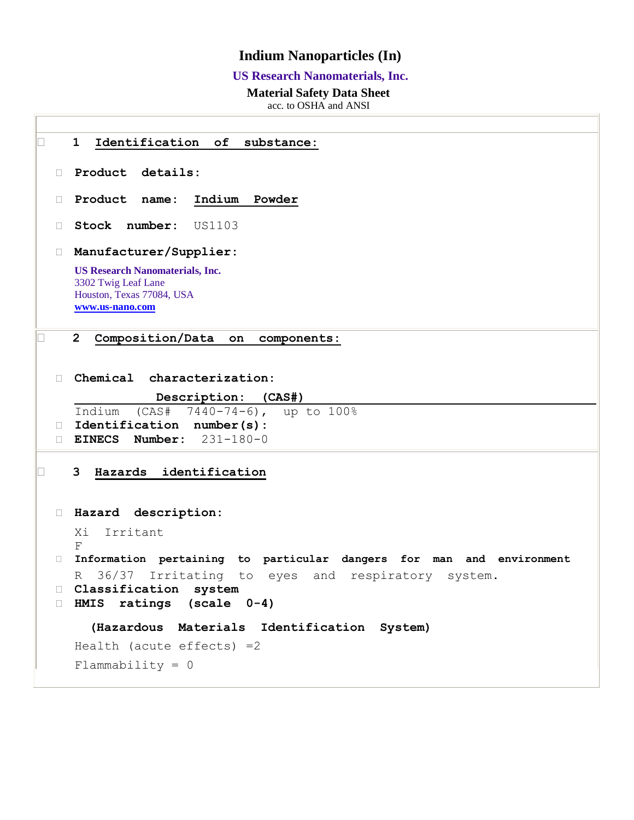## **Indium Nanoparticles (In)**

## **US Research Nanomaterials, Inc.**

## **Material Safety Data Sheet**

acc. to OSHA and ANSI

|        | Identification of substance:<br>$\mathbf 1$                                                                   |
|--------|---------------------------------------------------------------------------------------------------------------|
| $\Box$ | Product details:                                                                                              |
| П.     | Product name:<br>Indium Powder                                                                                |
| П      | Stock number:<br>US1103                                                                                       |
| П.     | Manufacturer/Supplier:                                                                                        |
|        | <b>US Research Nanomaterials, Inc.</b><br>3302 Twig Leaf Lane<br>Houston, Texas 77084, USA<br>www.us-nano.com |
|        | 2 <sup>1</sup><br>Composition/Data on components:                                                             |
| П      | Chemical characterization:<br>Description: (CAS#)                                                             |
| $\Box$ | (CAS# 7440-74-6), up to 100%<br>Indium<br>Identification number(s):                                           |
| $\Box$ | EINECS Number: $231-180-0$                                                                                    |
|        | 3<br>Hazards identification                                                                                   |
| П.     | Hazard description:                                                                                           |
|        | Irritant<br>Xi<br>F                                                                                           |
| П.     | Information pertaining to particular dangers for man and environment                                          |
|        | 36/37 Irritating to eyes and respiratory<br>R<br>system.<br>Classification system                             |
| □      | ratings (scale 0-4)<br>HMIS                                                                                   |
|        | (Hazardous Materials Identification System)                                                                   |
|        | Health (acute effects) $=2$                                                                                   |
|        | $Flammability = 0$                                                                                            |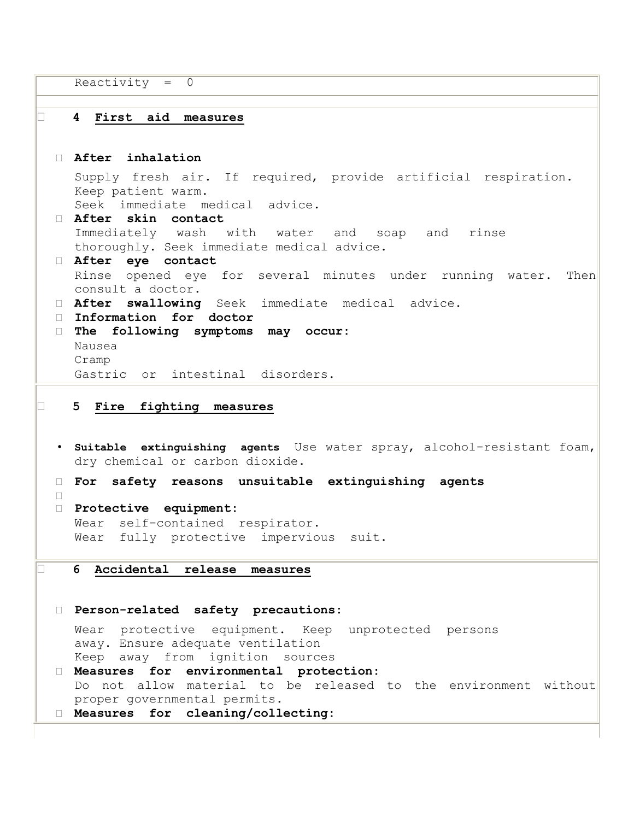```
Reactivity = 0 4 First aid measures
  After inhalation 
   Supply fresh air. If required, provide artificial respiration. 
   Keep patient warm. 
   Seek immediate medical advice. 
  After skin contact 
   Immediately wash with water and soap and rinse 
   thoroughly. Seek immediate medical advice. 
  After eye contact 
   Rinse opened eye for several minutes under running water. Then 
   consult a doctor. 
  After swallowing Seek immediate medical advice.
  Information for doctor 
  The following symptoms may occur: 
   Nausea 
   Cramp 
   Gastric or intestinal disorders. 
5 Fire fighting measures
 • Suitable extinguishing agents Use water spray, alcohol-resistant foam, 
   dry chemical or carbon dioxide.
  For safety reasons unsuitable extinguishing agents 
 \Box Protective equipment: 
   Wear self-contained respirator. 
   Wear fully protective impervious suit. 
6 Accidental release measures
  Person-related safety precautions: 
   Wear protective equipment. Keep unprotected persons 
   away. Ensure adequate ventilation 
   Keep away from ignition sources 
  Measures for environmental protection: 
   Do not allow material to be released to the environment without 
   proper governmental permits. 
  Measures for cleaning/collecting:
```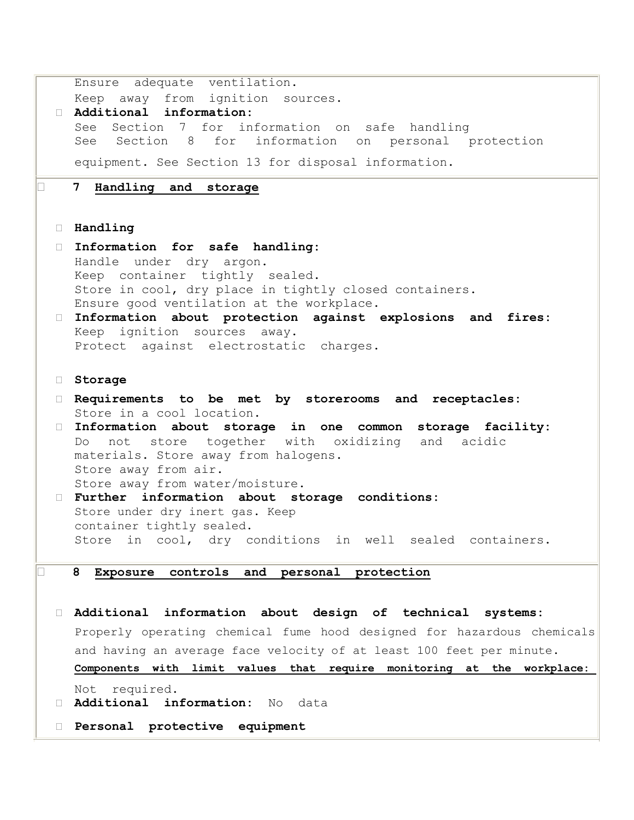|        | Ensure adequate ventilation.                                                              |
|--------|-------------------------------------------------------------------------------------------|
|        | Keep away from ignition sources.                                                          |
|        | Additional information:                                                                   |
|        | See Section 7 for information on safe handling                                            |
|        | See Section 8 for information on personal protection                                      |
|        | equipment. See Section 13 for disposal information.                                       |
|        | 7 Handling and storage                                                                    |
|        |                                                                                           |
|        |                                                                                           |
|        | <b>Handling</b>                                                                           |
| $\Box$ | Information for safe handling:                                                            |
|        | Handle under dry argon.                                                                   |
|        | Keep container tightly sealed.                                                            |
|        | Store in cool, dry place in tightly closed containers.                                    |
|        | Ensure good ventilation at the workplace.                                                 |
|        | Information about protection against explosions and fires:<br>Keep ignition sources away. |
|        | Protect against electrostatic charges.                                                    |
|        |                                                                                           |
|        |                                                                                           |
|        | Storage                                                                                   |
|        | D Requirements to be met by storerooms and receptacles:                                   |
|        | Store in a cool location.                                                                 |
|        | Information about storage in one common storage facility:                                 |
|        | Do not store together with oxidizing and acidic                                           |
|        | materials. Store away from halogens.                                                      |
|        | Store away from air.                                                                      |
|        | Store away from water/moisture.<br>Further information about storage conditions:          |
|        | Store under dry inert gas. Keep                                                           |
|        | container tightly sealed.                                                                 |
|        | Store in cool, dry conditions in well sealed containers.                                  |
|        |                                                                                           |
|        | 8<br>Exposure controls and personal protection                                            |
|        |                                                                                           |
|        |                                                                                           |
| П.     | Additional information about design of technical systems:                                 |
|        | Properly operating chemical fume hood designed for hazardous chemicals                    |
|        | and having an average face velocity of at least 100 feet per minute.                      |
|        | Components with limit values that require monitoring at the workplace:                    |
|        |                                                                                           |
|        | required.<br>Not                                                                          |
|        | Additional information:<br>No<br>data                                                     |

**Personal protective equipment**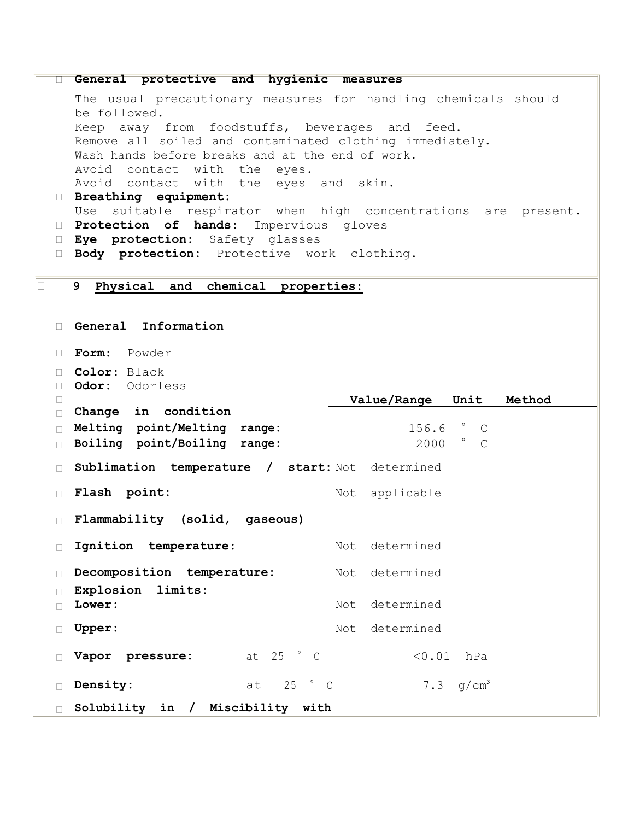```
 General protective and hygienic measures 
   The usual precautionary measures for handling chemicals should 
   be followed. 
   Keep away from foodstuffs, beverages and feed. 
   Remove all soiled and contaminated clothing immediately. 
   Wash hands before breaks and at the end of work. 
   Avoid contact with the eyes. 
   Avoid contact with the eyes and skin. 
  Breathing equipment: 
   Use suitable respirator when high concentrations are present. 
  Protection of hands: Impervious gloves
  Eye protection: Safety glasses
  Body protection: Protective work clothing.
9 Physical and chemical properties:
  General Information 
  Form: Powder
  Color: Black
  Odor: Odorless
 \BoxChange in condition

                                  Value/Range Unit Method
  Melting point/Melting range: 156.6 ° C
  Boiling point/Boiling range: 2000 ° C
  Sublimation temperature / start: Not determined
  Flash point: Not applicable
  Flammability (solid, gaseous)
 Ignition temperature: Not determined
  Decomposition temperature: Not determined
  Explosion limits:
 \Box Lower: Not determined
 Upper: Not determined
  Vapor pressure: at 25 ° C <0.01 hPa
 \Box Density: \Box at 25 \degree C \Box 7.3 \sigma/\text{cm}^3 Solubility in / Miscibility with
```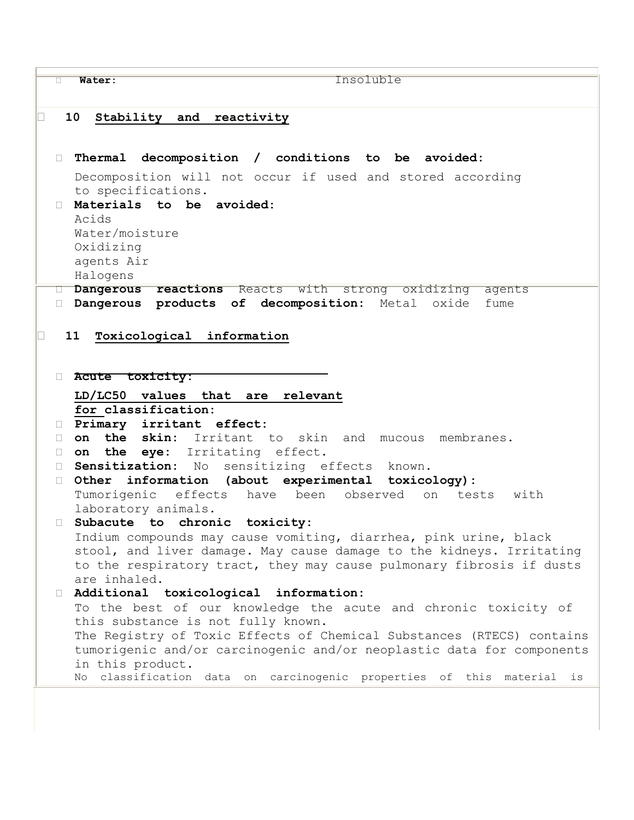**Water:** Insoluble **10 Stability and reactivity Thermal decomposition / conditions to be avoided:** Decomposition will not occur if used and stored according to specifications. **Materials to be avoided:**  Acids Water/moisture Oxidizing agents Air Halogens **Dangerous reactions** Reacts with strong oxidizing agents **Dangerous products of decomposition:** Metal oxide fume **11 Toxicological information Acute toxicity: LD/LC50 values that are relevant for classification: Primary irritant effect: on the skin:** Irritant to skin and mucous membranes. **on the eye:** Irritating effect. **Sensitization:** No sensitizing effects known. **Other information (about experimental toxicology):**  Tumorigenic effects have been observed on tests with laboratory animals. **Subacute to chronic toxicity:**  Indium compounds may cause vomiting, diarrhea, pink urine, black stool, and liver damage. May cause damage to the kidneys. Irritating to the respiratory tract, they may cause pulmonary fibrosis if dusts are inhaled. **Additional toxicological information:**  To the best of our knowledge the acute and chronic toxicity of this substance is not fully known. The Registry of Toxic Effects of Chemical Substances (RTECS) contains tumorigenic and/or carcinogenic and/or neoplastic data for components in this product. No classification data on carcinogenic properties of this material is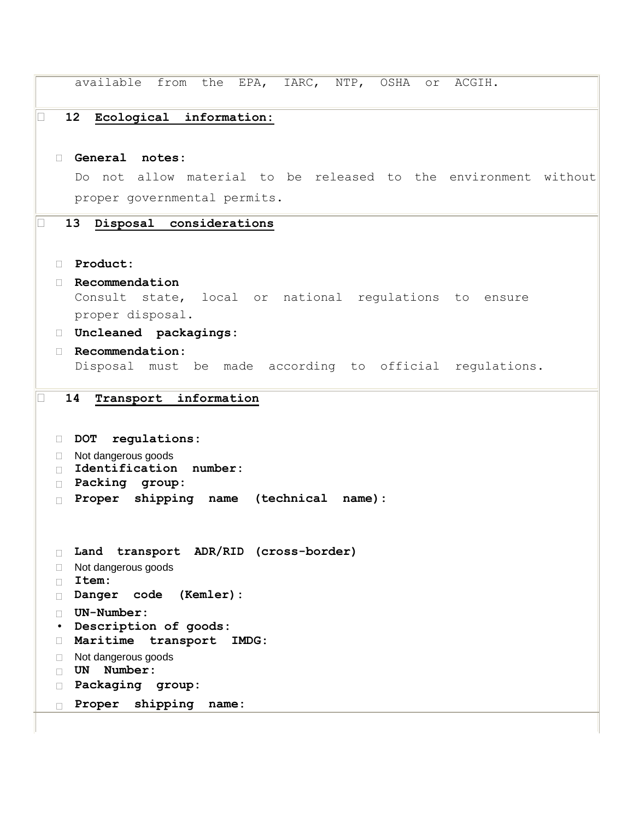```
available from the EPA, IARC, NTP, OSHA or ACGIH.
12 Ecological information:
  General notes: 
   Do not allow material to be released to the environment without 
   proper governmental permits. 
13 Disposal considerations
  Product: 
  Recommendation 
   Consult state, local or national regulations to ensure 
   proper disposal. 
  Uncleaned packagings: 
  Recommendation: 
   Disposal must be made according to official regulations. 
14 Transport information
  DOT regulations: 
 □ Not dangerous goods
  Identification number:
  Packing group:
  Proper shipping name (technical name):
  Land transport ADR/RID (cross-border)
 □ Not dangerous goods
  Item:
  Danger code (Kemler):
  UN-Number:
 • Description of goods: 
  Maritime transport IMDG:
 □ Not dangerous goods
  UN Number:
  Packaging group:
  Proper shipping name:
```